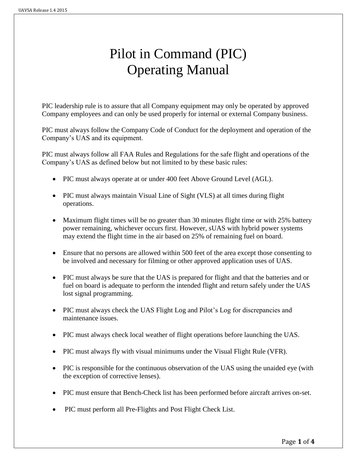# Pilot in Command (PIC) Operating Manual

PIC leadership rule is to assure that all Company equipment may only be operated by approved Company employees and can only be used properly for internal or external Company business.

PIC must always follow the Company Code of Conduct for the deployment and operation of the Company's UAS and its equipment.

PIC must always follow all FAA Rules and Regulations for the safe flight and operations of the Company's UAS as defined below but not limited to by these basic rules:

- PIC must always operate at or under 400 feet Above Ground Level (AGL).
- PIC must always maintain Visual Line of Sight (VLS) at all times during flight operations.
- Maximum flight times will be no greater than 30 minutes flight time or with 25% battery power remaining, whichever occurs first. However, sUAS with hybrid power systems may extend the flight time in the air based on 25% of remaining fuel on board.
- Ensure that no persons are allowed within 500 feet of the area except those consenting to be involved and necessary for filming or other approved application uses of UAS.
- PIC must always be sure that the UAS is prepared for flight and that the batteries and or fuel on board is adequate to perform the intended flight and return safely under the UAS lost signal programming.
- PIC must always check the UAS Flight Log and Pilot's Log for discrepancies and maintenance issues.
- PIC must always check local weather of flight operations before launching the UAS.
- PIC must always fly with visual minimums under the Visual Flight Rule (VFR).
- PIC is responsible for the continuous observation of the UAS using the unaided eye (with the exception of corrective lenses).
- PIC must ensure that Bench-Check list has been performed before aircraft arrives on-set.
- PIC must perform all Pre-Flights and Post Flight Check List.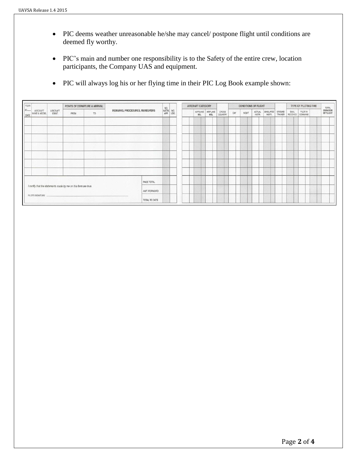- PIC deems weather unreasonable he/she may cancel/ postpone flight until conditions are deemed fly worthy.
- PIC's main and number one responsibility is to the Safety of the entire crew, location participants, the Company UAS and equipment.
- PIC will always log his or her flying time in their PIC Log Book example shown:

| 2000<br>YEAR<br>$20 -$<br>DATE                                  | <b>AIRCRAFT</b><br>MAKE & MODEL | AIRCRAFT<br>IDENT. | POINTS OF DEPARTURE & ARRIVAL |                   |                                |              | $NQ$ .<br>$NSTR$ .<br>APP. | NO.<br>LDG. |            | AIRCRAFT CATEGORY        |                  |     | <b>CONDITIONS OF FLIGHT</b> |                  |                     |                   |                          | TYPE OF PILOTING TIME |  |                              | TOTAL |
|-----------------------------------------------------------------|---------------------------------|--------------------|-------------------------------|-------------------|--------------------------------|--------------|----------------------------|-------------|------------|--------------------------|------------------|-----|-----------------------------|------------------|---------------------|-------------------|--------------------------|-----------------------|--|------------------------------|-------|
|                                                                 |                                 |                    | FROM                          | TO                | REMARKS, PROCEDURES, MANEUVERS |              |                            |             | <b>SEL</b> | AIRPLANE AIRPLANE<br>MEL | CROSS<br>COUNTRY | DAY | NIGHT                       | ACTUAL<br>INSTR. | SIMULATED<br>INSTR. | GROUND<br>TRAINER | DUAL<br>RECEIVED COMMAND | PILOT IN              |  | <b>DURATION</b><br>OF FLIGHT |       |
|                                                                 |                                 |                    |                               |                   |                                |              |                            |             |            |                          |                  |     |                             |                  |                     |                   |                          |                       |  |                              |       |
|                                                                 |                                 |                    |                               |                   |                                |              |                            |             |            |                          |                  |     |                             |                  |                     |                   |                          |                       |  |                              |       |
|                                                                 |                                 |                    |                               |                   |                                |              |                            |             |            |                          |                  |     |                             |                  |                     |                   |                          |                       |  |                              |       |
|                                                                 |                                 |                    |                               |                   |                                |              |                            |             |            |                          |                  |     |                             |                  |                     |                   |                          |                       |  |                              |       |
|                                                                 |                                 |                    |                               |                   |                                |              |                            |             |            |                          |                  |     |                             |                  |                     |                   |                          |                       |  |                              |       |
|                                                                 |                                 |                    |                               | <b>STATISTICS</b> |                                |              |                            |             |            |                          |                  |     |                             |                  |                     |                   |                          |                       |  |                              |       |
|                                                                 |                                 |                    |                               |                   |                                |              |                            |             |            |                          |                  |     |                             |                  |                     |                   |                          |                       |  |                              |       |
|                                                                 |                                 |                    |                               |                   |                                | PAGE TOTAL   |                            |             |            |                          |                  |     |                             |                  |                     |                   |                          |                       |  |                              |       |
| I certify that the statements made by me on this form are true. |                                 |                    |                               |                   |                                | AMT. FORWARD |                            |             |            |                          |                  |     |                             |                  |                     |                   |                          |                       |  |                              |       |
|                                                                 | PILOT'S SIGNATURE               |                    |                               |                   |                                |              |                            |             |            |                          |                  |     |                             |                  |                     |                   |                          |                       |  |                              |       |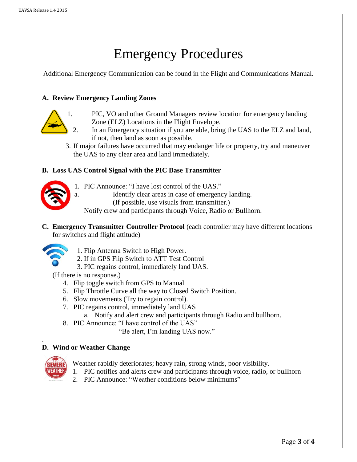# Emergency Procedures

Additional Emergency Communication can be found in the Flight and Communications Manual.

#### **A. Review Emergency Landing Zones**



- 1. PIC, VO and other Ground Managers review location for emergency landing Zone (ELZ) Locations in the Flight Envelope.
	- 2. In an Emergency situation if you are able, bring the UAS to the ELZ and land, if not, then land as soon as possible.
- 3. If major failures have occurred that may endanger life or property, try and maneuver the UAS to any clear area and land immediately.

## **B. Loss UAS Control Signal with the PIC Base Transmitter**

- 1. PIC Announce: "I have lost control of the UAS."
- a. Identify clear areas in case of emergency landing.
	- (If possible, use visuals from transmitter.)

Notify crew and participants through Voice, Radio or Bullhorn.

**C. Emergency Transmitter Controller Protocol** (each controller may have different locations for switches and flight attitude)



- 1. Flip Antenna Switch to High Power.
- 2. If in GPS Flip Switch to ATT Test Control
- 3. PIC regains control, immediately land UAS.

(If there is no response.)

- 4. Flip toggle switch from GPS to Manual
- 5. Flip Throttle Curve all the way to Closed Switch Position.
- 6. Slow movements (Try to regain control).
- 7. PIC regains control, immediately land UAS
	- a. Notify and alert crew and participants through Radio and bullhorn.
- 8. PIC Announce: "I have control of the UAS"

"Be alert, I'm landing UAS now."

## **D. Wind or Weather Change**



.

- Weather rapidly deteriorates; heavy rain, strong winds, poor visibility.
- 1. PIC notifies and alerts crew and participants through voice, radio, or bullhorn
- 2. PIC Announce: "Weather conditions below minimums"